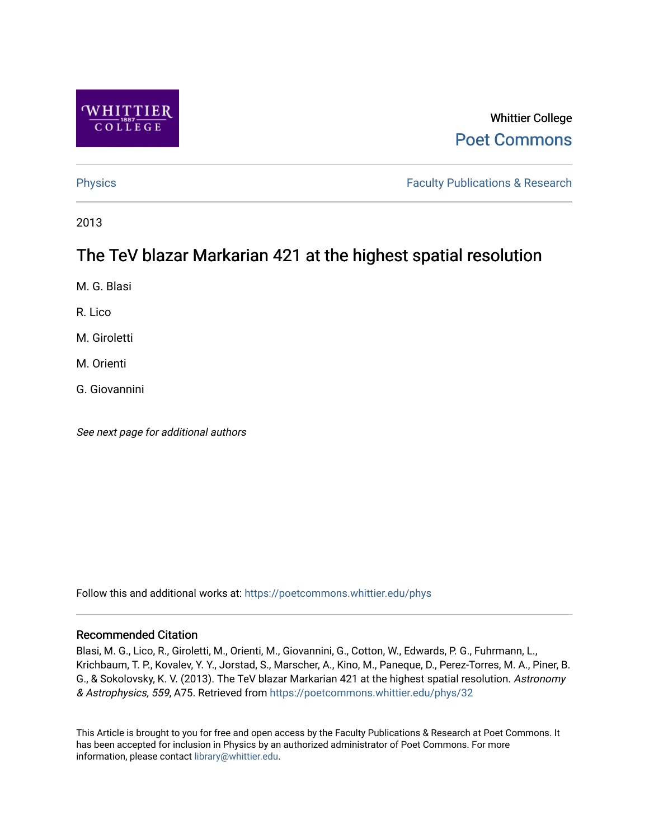

# Whittier College [Poet Commons](https://poetcommons.whittier.edu/)

[Physics](https://poetcommons.whittier.edu/phys) **Faculty Publications & Research Physics Faculty Publications & Research** 

2013

# The TeV blazar Markarian 421 at the highest spatial resolution

M. G. Blasi

R. Lico

M. Giroletti

M. Orienti

G. Giovannini

See next page for additional authors

Follow this and additional works at: [https://poetcommons.whittier.edu/phys](https://poetcommons.whittier.edu/phys?utm_source=poetcommons.whittier.edu%2Fphys%2F32&utm_medium=PDF&utm_campaign=PDFCoverPages)

### Recommended Citation

Blasi, M. G., Lico, R., Giroletti, M., Orienti, M., Giovannini, G., Cotton, W., Edwards, P. G., Fuhrmann, L., Krichbaum, T. P., Kovalev, Y. Y., Jorstad, S., Marscher, A., Kino, M., Paneque, D., Perez-Torres, M. A., Piner, B. G., & Sokolovsky, K. V. (2013). The TeV blazar Markarian 421 at the highest spatial resolution. Astronomy & Astrophysics, 559, A75. Retrieved from [https://poetcommons.whittier.edu/phys/32](https://poetcommons.whittier.edu/phys/32?utm_source=poetcommons.whittier.edu%2Fphys%2F32&utm_medium=PDF&utm_campaign=PDFCoverPages)

This Article is brought to you for free and open access by the Faculty Publications & Research at Poet Commons. It has been accepted for inclusion in Physics by an authorized administrator of Poet Commons. For more information, please contact [library@whittier.edu.](mailto:library@whittier.edu)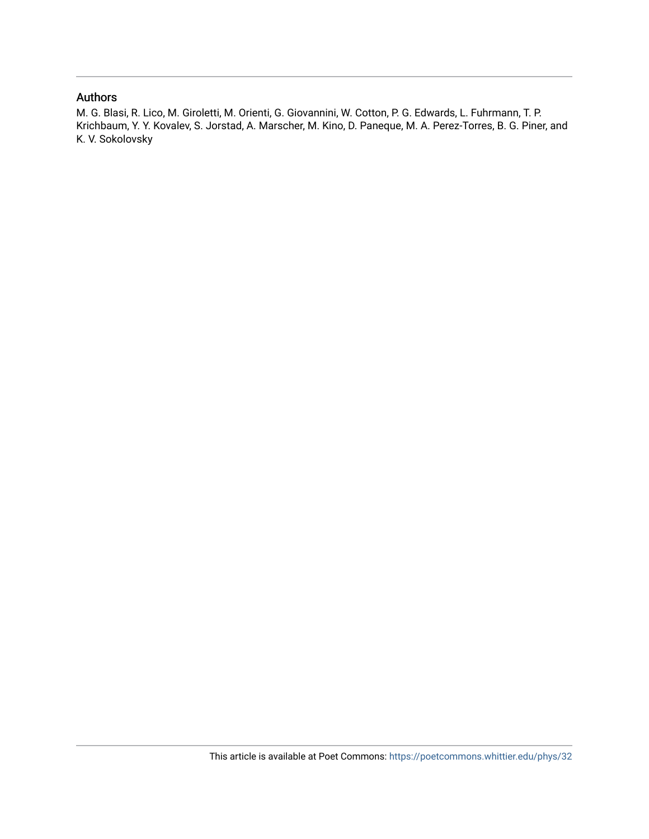# Authors

M. G. Blasi, R. Lico, M. Giroletti, M. Orienti, G. Giovannini, W. Cotton, P. G. Edwards, L. Fuhrmann, T. P. Krichbaum, Y. Y. Kovalev, S. Jorstad, A. Marscher, M. Kino, D. Paneque, M. A. Perez-Torres, B. G. Piner, and K. V. Sokolovsky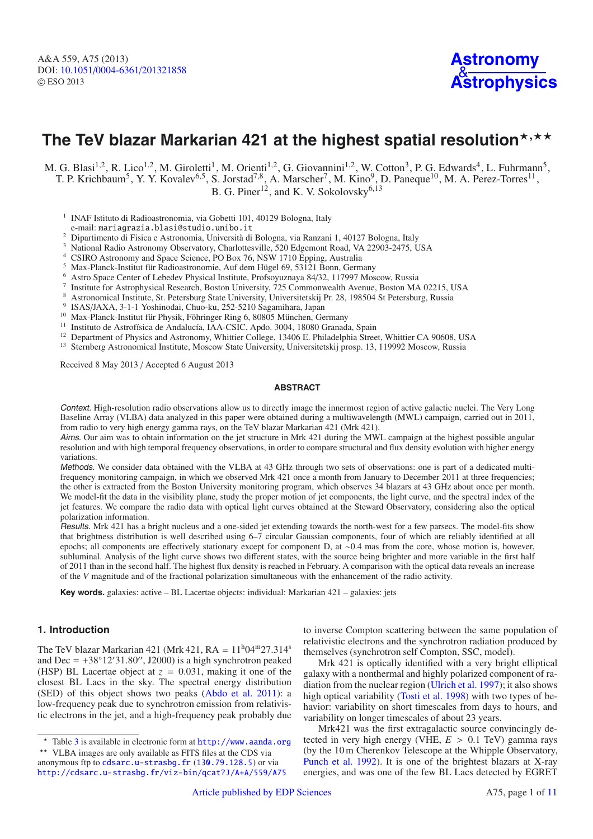# The TeV blazar Markarian 421 at the highest spatial resolution**\***,\*\*

M. G. Blasi<sup>1,2</sup>, R. Lico<sup>1,2</sup>, M. Giroletti<sup>1</sup>, M. Orienti<sup>1,2</sup>, G. Giovannini<sup>1,2</sup>, W. Cotton<sup>3</sup>, P. G. Edwards<sup>4</sup>, L. Fuhrmann<sup>5</sup>, T. P. Krichbaum<sup>5</sup>, Y. Y. Kovalev<sup>6,5</sup>, S. Jorstad<sup>7,8</sup>, A. Marscher<sup>7</sup>, M. Kino<sup>9</sup>, D. Paneque<sup>10</sup>, M. A. Perez-Torres<sup>11</sup>, B. G. Piner<sup>12</sup>, and K. V. Sokolovsky<sup>6,13</sup>

<sup>1</sup> INAF Istituto di Radioastronomia, via Gobetti 101, 40129 Bologna, Italy

e-mail: mariagrazia.blasi@studio.unibo.it

<sup>2</sup> Dipartimento di Fisica e Astronomia, Università di Bologna, via Ranzani 1, 40127 Bologna, Italy

- <sup>3</sup> National Radio Astronomy Observatory, Charlottesville, 520 Edgemont Road, VA 22903-2475, USA
- <sup>4</sup> CSIRO Astronomy and Space Science, PO Box 76, NSW 1710 Epping, Australia
- 
- <sup>5</sup> Max-Planck-Institut für Radioastronomie, Auf dem Hügel 69, 53121 Bonn, Germany<br><sup>6</sup> Astro Space Center of Lebedev Physical Institute, Profsoyuznaya 84/32, 117997 Moscow, Russia
- <sup>7</sup> Institute for Astrophysical Research, Boston University, 725 Commonwealth Avenue, Boston MA 02215, USA
- <sup>8</sup> Astronomical Institute, St. Petersburg State University, Universitetskij Pr. 28, 198504 St Petersburg, Russia
- 
- <sup>9</sup> ISAS/JAXA, 3-1-1 Yoshinodai, Chuo-ku, 252-5210 Sagamihara, Japan <sup>10</sup> Max-Planck-Institut für Physik, Föhringer Ring 6, 80805 München, Germany <sup>11</sup> Institute de Astrofísica de Andalucía JAA CSIC, Anda 2004, 18080 Gran
- <sup>11</sup> Instituto de Astrofísica de Andalucía, IAA-CSIC, Apdo. 3004, 18080 Granada, Spain
- <sup>12</sup> Department of Physics and Astronomy, Whittier College, 13406 E. Philadelphia Street, Whittier CA 90608, USA<br><sup>13</sup> Starphare Astronomical Institute Moscow State University Universitatekii prop. 13, 110002 Moscow Pussia
- <sup>13</sup> Sternberg Astronomical Institute, Moscow State University, Universitetskij prosp. 13, 119992 Moscow, Russia

Received 8 May 2013 / Accepted 6 August 2013

#### **ABSTRACT**

Context. High-resolution radio observations allow us to directly image the innermost region of active galactic nuclei. The Very Long Baseline Array (VLBA) data analyzed in this paper were obtained during a multiwavelength (MWL) campaign, carried out in 2011, from radio to very high energy gamma rays, on the TeV blazar Markarian 421 (Mrk 421).

Aims. Our aim was to obtain information on the jet structure in Mrk 421 during the MWL campaign at the highest possible angular resolution and with high temporal frequency observations, in order to compare structural and flux density evolution with higher energy variations.

Methods. We consider data obtained with the VLBA at 43 GHz through two sets of observations: one is part of a dedicated multifrequency monitoring campaign, in which we observed Mrk 421 once a month from January to December 2011 at three frequencies; the other is extracted from the Boston University monitoring program, which observes 34 blazars at 43 GHz about once per month. We model-fit the data in the visibility plane, study the proper motion of jet components, the light curve, and the spectral index of the jet features. We compare the radio data with optical light curves obtained at the Steward Observatory, considering also the optical polarization information.

Results. Mrk 421 has a bright nucleus and a one-sided jet extending towards the north-west for a few parsecs. The model-fits show that brightness distribution is well described using 6–7 circular Gaussian components, four of which are reliably identified at all epochs; all components are effectively stationary except for component D, at ∼0.4 mas from the core, whose motion is, however, subluminal. Analysis of the light curve shows two different states, with the source being brighter and more variable in the first half of 2011 than in the second half. The highest flux density is reached in February. A comparison with the optical data reveals an increase of the *V* magnitude and of the fractional polarization simultaneous with the enhancement of the radio activity.

**Key words.** galaxies: active – BL Lacertae objects: individual: Markarian 421 – galaxies: jets

### **1. Introduction**

The TeV blazar Markarian 421 (Mrk 421,  $RA = 11<sup>h</sup>04<sup>m</sup>27.314<sup>s</sup>$ and Dec =  $+38°12'31.80''$ , J2000) is a high synchrotron peaked (HSP) BL Lacertae object at  $z = 0.031$ , making it one of the closest BL Lacs in the sky. The spectral energy distribution (SED) of this object shows two peaks [\(Abdo et al. 2011\)](#page-9-0): a low-frequency peak due to synchrotron emission from relativistic electrons in the jet, and a high-frequency peak probably due to inverse Compton scattering between the same population of relativistic electrons and the synchrotron radiation produced by themselves (synchrotron self Compton, SSC, model).

Mrk 421 is optically identified with a very bright elliptical galaxy with a nonthermal and highly polarized component of radiation from the nuclear region [\(Ulrich et al. 1997\)](#page-9-1); it also shows high optical variability [\(Tosti et al. 1998](#page-9-2)) with two types of behavior: variability on short timescales from days to hours, and variability on longer timescales of about 23 years.

Mrk421 was the first extragalactic source convincingly detected in very high energy (VHE,  $E > 0.1$  TeV) gamma rays (by the 10 m Cherenkov Telescope at the Whipple Observatory, [Punch et al. 1992\)](#page-9-3). It is one of the brightest blazars at X-ray energies, and was one of the few BL Lacs detected by EGRET

<sup>\*</sup> Table [3](#page-10-0) is available in electronic form at <http://www.aanda.org>

<sup>\*\*</sup> VLBA images are only available as FITS files at the CDS via anonymous ftp to [cdsarc.u-strasbg.fr](http://cdsarc.u-strasbg.fr) ([130.79.128.5](ftp://130.79.128.5)) or via <http://cdsarc.u-strasbg.fr/viz-bin/qcat?J/A+A/559/A75>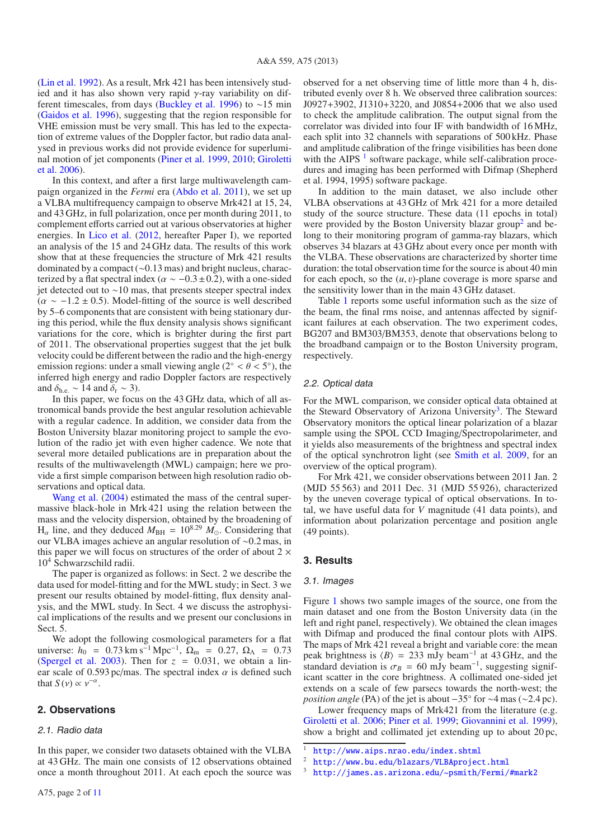[\(Lin et al. 1992\)](#page-9-4). As a result, Mrk 421 has been intensively studied and it has also shown very rapid γ-ray variability on different timescales, from days [\(Buckley et al. 1996\)](#page-9-5) to ∼15 min [\(Gaidos et al. 1996\)](#page-9-6), suggesting that the region responsible for VHE emission must be very small. This has led to the expectation of extreme values of the Doppler factor, but radio data analysed in previous works did not provide evidence for superluminal [motion of jet components](#page-9-9) [\(Piner et al. 1999](#page-9-7)[,](#page-9-9) [2010](#page-9-8); Giroletti et al. [2006\)](#page-9-9).

In this context, and after a first large multiwavelength campaign organized in the *Fermi* era [\(Abdo et al. 2011\)](#page-9-0), we set up a VLBA multifrequency campaign to observe Mrk421 at 15, 24, and 43 GHz, in full polarization, once per month during 2011, to complement efforts carried out at various observatories at higher energies. In [Lico et al.](#page-9-10) [\(2012](#page-9-10), hereafter Paper I), we reported an analysis of the 15 and 24 GHz data. The results of this work show that at these frequencies the structure of Mrk 421 results dominated by a compact (∼0.13 mas) and bright nucleus, characterized by a flat spectral index ( $\alpha \sim -0.3 \pm 0.2$ ), with a one-sided jet detected out to ∼10 mas, that presents steeper spectral index  $(\alpha \sim -1.2 \pm 0.5)$ . Model-fitting of the source is well described by 5–6 components that are consistent with being stationary during this period, while the flux density analysis shows significant variations for the core, which is brighter during the first part of 2011. The observational properties suggest that the jet bulk velocity could be different between the radio and the high-energy emission regions: under a small viewing angle ( $2° < \theta < 5°$ ), the inferred high energy and radio Doppler factors are respectively and  $\delta_{he} \sim 14$  and  $\delta_r \sim 3$ ).

In this paper, we focus on the 43 GHz data, which of all astronomical bands provide the best angular resolution achievable with a regular cadence. In addition, we consider data from the Boston University blazar monitoring project to sample the evolution of the radio jet with even higher cadence. We note that several more detailed publications are in preparation about the results of the multiwavelength (MWL) campaign; here we provide a first simple comparison between high resolution radio observations and optical data.

[Wang](#page-9-11) [et](#page-9-11) [al.](#page-9-11) [\(2004](#page-9-11)) estimated the mass of the central supermassive black-hole in Mrk 421 using the relation between the mass and the velocity dispersion, obtained by the broadening of  $H_{\alpha}$  line, and they deduced  $M_{BH} = 10^{8.29}$   $M_{\odot}$ . Considering that our VLBA images achieve an angular resolution of ∼0.2 mas, in this paper we will focus on structures of the order of about  $2 \times$ 10<sup>4</sup> Schwarzschild radii.

The paper is organized as follows: in Sect. 2 we describe the data used for model-fitting and for the MWL study; in Sect. 3 we present our results obtained by model-fitting, flux density analysis, and the MWL study. In Sect. 4 we discuss the astrophysical implications of the results and we present our conclusions in Sect. 5.

We adopt the following cosmological parameters for a flat universe:  $h_0 = 0.73 \text{ km s}^{-1} \text{ Mpc}^{-1}$ ,  $\Omega_{\text{m}} = 0.27$ ,  $\Omega_{\Lambda} = 0.73$ [\(Spergel et al. 2003](#page-9-12)). Then for  $z = 0.031$ , we obtain a linear scale of 0.593 pc/mas. The spectral index  $\alpha$  is defined such that  $S(v) \propto v^{-\alpha}$ .

#### **2. Observations**

#### 2.1. Radio data

In this paper, we consider two datasets obtained with the VLBA at 43 GHz. The main one consists of 12 observations obtained once a month throughout 2011. At each epoch the source was observed for a net observing time of little more than 4 h, distributed evenly over 8 h. We observed three calibration sources: J0927+3902, J1310+3220, and J0854+2006 that we also used to check the amplitude calibration. The output signal from the correlator was divided into four IF with bandwidth of 16 MHz, each split into 32 channels with separations of 500 kHz. Phase and amplitude calibration of the fringe visibilities has been done with the AIPS  $<sup>1</sup>$  $<sup>1</sup>$  $<sup>1</sup>$  software package, while self-calibration proce-</sup> dures and imaging has been performed with Difmap (Shepherd et al. 1994, 1995) software package.

In addition to the main dataset, we also include other VLBA observations at 43 GHz of Mrk 421 for a more detailed study of the source structure. These data (11 epochs in total) were provided by the Boston University blazar group<sup>[2](#page-3-1)</sup> and belong to their monitoring program of gamma-ray blazars, which observes 34 blazars at 43 GHz about every once per month with the VLBA. These observations are characterized by shorter time duration: the total observation time for the source is about 40 min for each epoch, so the  $(u, v)$ -plane coverage is more sparse and the sensitivity lower than in the main 43 GHz dataset.

Table [1](#page-4-0) reports some useful information such as the size of the beam, the final rms noise, and antennas affected by significant failures at each observation. The two experiment codes, BG207 and BM303/BM353, denote that observations belong to the broadband campaign or to the Boston University program, respectively.

#### 2.2. Optical data

For the MWL comparison, we consider optical data obtained at the Steward Observatory of Arizona University<sup>3</sup>. The Steward Observatory monitors the optical linear polarization of a blazar sample using the SPOL CCD Imaging/Spectropolarimeter, and it yields also measurements of the brightness and spectral index of the optical synchrotron light (see [Smith et al. 2009](#page-9-13), for an overview of the optical program).

For Mrk 421, we consider observations between 2011 Jan. 2 (MJD 55 563) and 2011 Dec. 31 (MJD 55 926), characterized by the uneven coverage typical of optical observations. In total, we have useful data for *V* magnitude (41 data points), and information about polarization percentage and position angle (49 points).

#### **3. Results**

#### 3.1. Images

<span id="page-3-2"></span><span id="page-3-1"></span><span id="page-3-0"></span>Figure [1](#page-4-1) shows two sample images of the source, one from the main dataset and one from the Boston University data (in the left and right panel, respectively). We obtained the clean images with Difmap and produced the final contour plots with AIPS. The maps of Mrk 421 reveal a bright and variable core: the mean peak brightness is  $\langle B \rangle = 233$  mJy beam<sup>-1</sup> at 43 GHz, and the standard deviation is  $\sigma_B = 60$  mJy beam<sup>-1</sup>, suggesting significant scatter in the core brightness. A collimated one-sided jet extends on a scale of few parsecs towards the north-west; the *position angle* (PA) of the jet is about −35° for ~4 mas (~2.4 pc).

Lower frequency maps of Mrk421 from the literature (e.g. [Giroletti et al. 2006](#page-9-9); [Piner et al. 1999](#page-9-7); [Giovannini et al. 1999\)](#page-9-14), show a bright and collimated jet extending up to about 20 pc,

<sup>1</sup> <http://www.aips.nrao.edu/index.shtml>

<sup>2</sup> <http://www.bu.edu/blazars/VLBAproject.html>

<sup>3</sup> [http://james.as.arizona.edu/~psmith/Fermi/#mark2](http://james.as.arizona.edu/~{}psmith/Fermi/#mark2)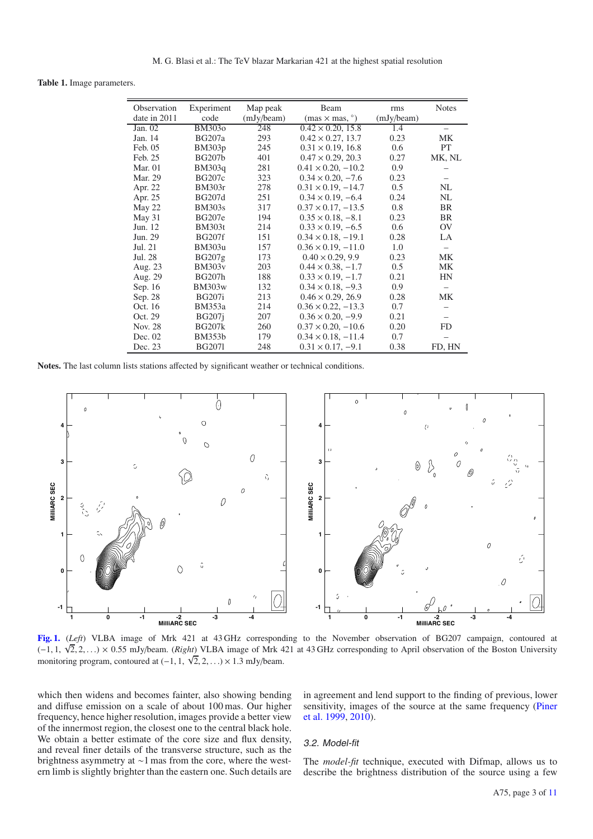<span id="page-4-0"></span>**Table 1.** Image parameters.

| Observation  | Experiment    | Map peak   | Beam                         | rms        | <b>Notes</b> |
|--------------|---------------|------------|------------------------------|------------|--------------|
| date in 2011 | code          | (mJy/beam) | $(mas \times mas, \degree)$  | (mJy/beam) |              |
| Jan. $02$    | BM303o        | 248        | $0.42 \times 0.20, 15.8$     | 1.4        |              |
| Jan. 14      | <b>BG207a</b> | 293        | $0.42 \times 0.27, 13.7$     | 0.23       | МK           |
| Feb. 05      | <b>BM303p</b> | 245        | $0.31 \times 0.19$ , 16.8    | 0.6        | <b>PT</b>    |
| Feb. 25      | <b>BG207b</b> | 401        | $0.47 \times 0.29$ , 20.3    | 0.27       | MK, NL       |
| Mar. $01$    | <b>BM303q</b> | 281        | $0.41 \times 0.20, -10.2$    | 0.9        |              |
| Mar. 29      | <b>BG207c</b> | 323        | $0.34 \times 0.20, -7.6$     | 0.23       |              |
| Apr. 22      | <b>BM303r</b> | 278        | $0.31 \times 0.19, -14.7$    | 0.5        | NL           |
| Apr. 25      | <b>BG207d</b> | 251        | $0.34 \times 0.19, -6.4$     | 0.24       | NL           |
| May 22       | <b>BM303s</b> | 317        | $0.37 \times 0.17, -13.5$    | 0.8        | BR           |
| May 31       | <b>BG207e</b> | 194        | $0.35 \times 0.18, -8.1$     | 0.23       | BR           |
| Jun. 12      | <b>BM303t</b> | 214        | $0.33 \times 0.19, -6.5$     | 0.6        | <b>OV</b>    |
| Jun. 29      | <b>BG207f</b> | 151        | $0.34 \times 0.18$ , $-19.1$ | 0.28       | LA           |
| Jul. 21      | <b>BM303u</b> | 157        | $0.36 \times 0.19, -11.0$    | 1.0        |              |
| Jul. 28      | BG207g        | 173        | $0.40 \times 0.29, 9.9$      | 0.23       | МK           |
| Aug. 23      | <b>BM303v</b> | 203        | $0.44 \times 0.38, -1.7$     | 0.5        | МK           |
| Aug. 29      | <b>BG207h</b> | 188        | $0.33 \times 0.19, -1.7$     | 0.21       | HN           |
| Sep. 16      | <b>BM303w</b> | 132        | $0.34 \times 0.18$ , $-9.3$  | 0.9        |              |
| Sep. 28      | <b>BG207i</b> | 213        | $0.46 \times 0.29, 26.9$     | 0.28       | MK           |
| Oct. 16      | <b>BM353a</b> | 214        | $0.36 \times 0.22, -13.3$    | 0.7        |              |
| Oct. 29      | <b>BG207j</b> | 207        | $0.36 \times 0.20, -9.9$     | 0.21       |              |
| Nov. 28      | <b>BG207k</b> | 260        | $0.37 \times 0.20, -10.6$    | 0.20       | <b>FD</b>    |
| Dec. 02      | <b>BM353b</b> | 179        | $0.34 \times 0.18, -11.4$    | 0.7        |              |
| Dec. 23      | <b>BG2071</b> | 248        | $0.31 \times 0.17, -9.1$     | 0.38       | FD, HN       |

**Notes.** The last column lists stations affected by significant weather or technical conditions.

<span id="page-4-1"></span>

**[Fig. 1.](http://dexter.edpsciences.org/applet.php?DOI=10.1051/0004-6361/201321858&pdf_id=1)** (*Left*) VLBA image of Mrk 421 at 43 GHz corresponding to the November observation of BG207 campaign, contoured at (−1, 1, √ 2, 2,...) × 0.55 mJy/beam. (*Right*) VLBA image of Mrk 421 at 43 GHz corresponding to April observation of the Boston University monitoring program, contoured at  $(-1, 1, \sqrt{2}, 2, ...) \times 1.3$  mJy/beam.

which then widens and becomes fainter, also showing bending and diffuse emission on a scale of about 100 mas. Our higher frequency, hence higher resolution, images provide a better view of the innermost region, the closest one to the central black hole. We obtain a better estimate of the core size and flux density, and reveal finer details of the transverse structure, such as the brightness asymmetry at ∼1 mas from the core, where the western limb is slightly brighter than the eastern one. Such details are in agreement and lend support to the finding of previous, lower sens[itivity, images of the source at the same frequency \(](#page-9-7)Piner et al. [1999](#page-9-7), [2010](#page-9-8)).

#### 3.2. Model-fit

The *model-fit* technique, executed with Difmap, allows us to describe the brightness distribution of the source using a few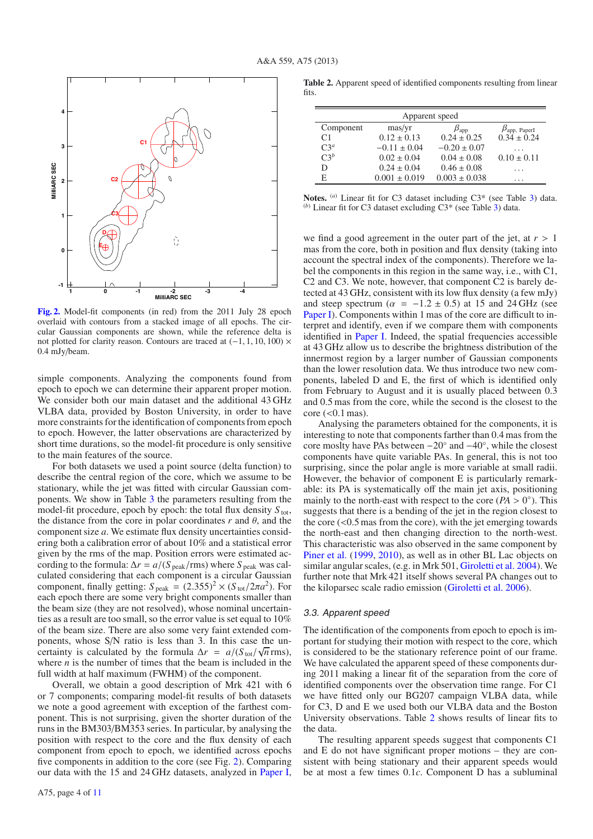<span id="page-5-0"></span>

**[Fig. 2.](http://dexter.edpsciences.org/applet.php?DOI=10.1051/0004-6361/201321858&pdf_id=2)** Model-fit components (in red) from the 2011 July 28 epoch overlaid with contours from a stacked image of all epochs. The circular Gaussian components are shown, while the reference delta is not plotted for clarity reason. Contours are traced at (−1, 1, 10, 100) × 0.4 mJy/beam.

simple components. Analyzing the components found from epoch to epoch we can determine their apparent proper motion. We consider both our main dataset and the additional 43 GHz VLBA data, provided by Boston University, in order to have more constraints for the identification of components from epoch to epoch. However, the latter observations are characterized by short time durations, so the model-fit procedure is only sensitive to the main features of the source.

For both datasets we used a point source (delta function) to describe the central region of the core, which we assume to be stationary, while the jet was fitted with circular Gaussian components. We show in Table [3](#page-10-0) the parameters resulting from the model-fit procedure, epoch by epoch: the total flux density  $S_{\text{tot}}$ , the distance from the core in polar coordinates  $r$  and  $\theta$ , and the component size *a*. We estimate flux density uncertainties considering both a calibration error of about 10% and a statistical error given by the rms of the map. Position errors were estimated according to the formula:  $\Delta r = a / (S_{\text{peak}}/ \text{rms})$  where  $S_{\text{peak}}$  was calculated considering that each component is a circular Gaussian component, finally getting:  $S_{\text{peak}} = (2.355)^2 \times (S_{\text{tot}}/2\pi a^2)$ . For each epoch there are some very bright components smaller than the beam size (they are not resolved), whose nominal uncertainties as a result are too small, so the error value is set equal to 10% of the beam size. There are also some very faint extended components, whose S/N ratio is less than 3. In this case the uncertainty is calculated by the formula  $\Delta r = a/(S_{\text{tot}}/\sqrt{n} \text{ rms})$ , where  $n$  is the number of times that the beam is included in the full width at half maximum (FWHM) of the component.

Overall, we obtain a good description of Mrk 421 with 6 or 7 components; comparing model-fit results of both datasets we note a good agreement with exception of the farthest component. This is not surprising, given the shorter duration of the runs in the BM303/BM353 series. In particular, by analysing the position with respect to the core and the flux density of each component from epoch to epoch, we identified across epochs five components in addition to the core (see Fig. [2\)](#page-5-0). Comparing our data with the 15 and 24 GHz datasets, analyzed in [Paper I](#page-9-10),

<span id="page-5-1"></span>**Table 2.** Apparent speed of identified components resulting from linear fits.

| Apparent speed |                   |                   |                            |  |  |  |  |  |
|----------------|-------------------|-------------------|----------------------------|--|--|--|--|--|
| Component      | mas/yr            | $\beta_{\rm app}$ | $\beta_{\rm app,~Paper I}$ |  |  |  |  |  |
| C <sub>1</sub> | $0.12 \pm 0.13$   | $0.24 \pm 0.25$   | $0.34 \pm 0.24$            |  |  |  |  |  |
| $C3^a$         | $-0.11 \pm 0.04$  | $-0.20 \pm 0.07$  | .                          |  |  |  |  |  |
| $C3^b$         | $0.02 \pm 0.04$   | $0.04 \pm 0.08$   | $0.10 \pm 0.11$            |  |  |  |  |  |
| D              | $0.24 \pm 0.04$   | $0.46 \pm 0.08$   | .                          |  |  |  |  |  |
| E              | $0.001 \pm 0.019$ | $0.003 \pm 0.038$ | $\cdots$                   |  |  |  |  |  |

**Notes.** (*a*) Linear fit for C3 dataset including C3\* (see Table [3\)](#page-10-0) data. (*b*) Linear fit for C3 dataset excluding C3\* (see Table [3\)](#page-10-0) data.

we find a good agreement in the outer part of the jet, at  $r > 1$ mas from the core, both in position and flux density (taking into account the spectral index of the components). Therefore we label the components in this region in the same way, i.e., with C1, C2 and C3. We note, however, that component C2 is barely detected at 43 GHz, consistent with its low flux density (a few mJy) and steep spectrum ( $\alpha$  = -1.2 ± 0.5) at 15 and 24 GHz (see [Paper I\)](#page-9-10). Components within 1 mas of the core are difficult to interpret and identify, even if we compare them with components identified in [Paper I.](#page-9-10) Indeed, the spatial frequencies accessible at 43 GHz allow us to describe the brightness distribution of the innermost region by a larger number of Gaussian components than the lower resolution data. We thus introduce two new components, labeled D and E, the first of which is identified only from February to August and it is usually placed between 0.3 and 0.5 mas from the core, while the second is the closest to the  $core$  ( $<$ 0.1 mas).

Analysing the parameters obtained for the components, it is interesting to note that components farther than 0.4 mas from the core moslty have PAs between −20◦ and −40◦, while the closest components have quite variable PAs. In general, this is not too surprising, since the polar angle is more variable at small radii. However, the behavior of component E is particularly remarkable: its PA is systematically off the main jet axis, positioning mainly to the north-east with respect to the core ( $PA > 0$ <sup>°</sup>). This suggests that there is a bending of the jet in the region closest to the core  $(< 0.5$  mas from the core), with the jet emerging towards the north-east and then changing direction to the north-west. This characteristic was also observed in the same component by [Piner et al.](#page-9-7) [\(1999,](#page-9-7) [2010\)](#page-9-8), as well as in other BL Lac objects on similar angular scales, (e.g. in Mrk 501, [Giroletti et al. 2004\)](#page-9-15). We further note that Mrk 421 itself shows several PA changes out to the kiloparsec scale radio emission [\(Giroletti et al. 2006](#page-9-9)).

#### 3.3. Apparent speed

The identification of the components from epoch to epoch is important for studying their motion with respect to the core, which is considered to be the stationary reference point of our frame. We have calculated the apparent speed of these components during 2011 making a linear fit of the separation from the core of identified components over the observation time range. For C1 we have fitted only our BG207 campaign VLBA data, while for C3, D and E we used both our VLBA data and the Boston University observations. Table [2](#page-5-1) shows results of linear fits to the data.

The resulting apparent speeds suggest that components C1 and E do not have significant proper motions – they are consistent with being stationary and their apparent speeds would be at most a few times 0.1*c*. Component D has a subluminal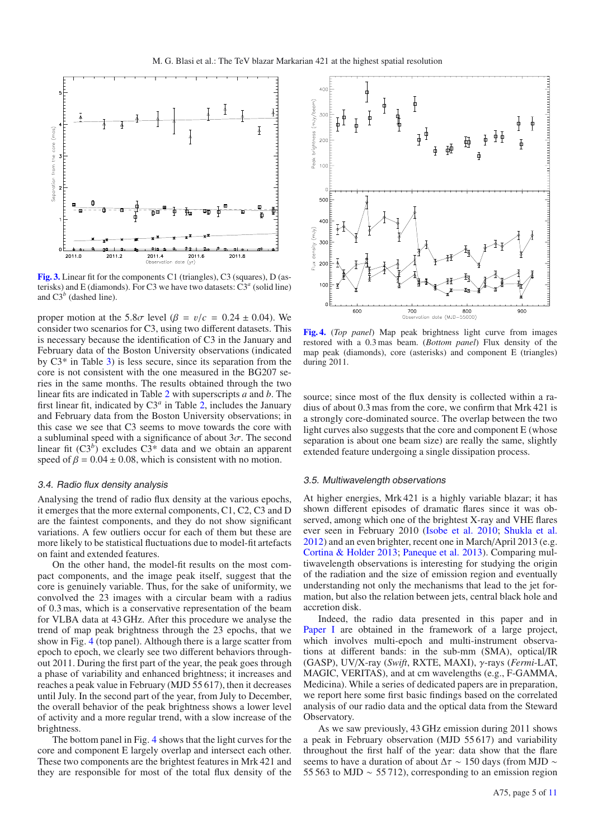

**[Fig. 3.](http://dexter.edpsciences.org/applet.php?DOI=10.1051/0004-6361/201321858&pdf_id=3)** Linear fit for the components C1 (triangles), C3 (squares), D (asterisks) and E (diamonds). For C3 we have two datasets: C3*<sup>a</sup>* (solid line) and  $C3<sup>b</sup>$  (dashed line).

proper motion at the 5.8 $\sigma$  level ( $\beta = v/c = 0.24 \pm 0.04$ ). We consider two scenarios for C3, using two different datasets. This is necessary because the identification of C3 in the January and February data of the Boston University observations (indicated by C3\* in Table [3\)](#page-10-0) is less secure, since its separation from the core is not consistent with the one measured in the BG207 series in the same months. The results obtained through the two linear fits are indicated in Table [2](#page-5-1) with superscripts *a* and *b*. The first linear fit, indicated by  $C3<sup>a</sup>$  in Table [2,](#page-5-1) includes the January and February data from the Boston University observations; in this case we see that C3 seems to move towards the core with a subluminal speed with a significance of about  $3\sigma$ . The second linear fit  $(C3^b)$  excludes  $C3^*$  data and we obtain an apparent speed of  $\beta = 0.04 \pm 0.08$ , which is consistent with no motion.

#### 3.4. Radio flux density analysis

Analysing the trend of radio flux density at the various epochs, it emerges that the more external components, C1, C2, C3 and D are the faintest components, and they do not show significant variations. A few outliers occur for each of them but these are more likely to be statistical fluctuations due to model-fit artefacts on faint and extended features.

On the other hand, the model-fit results on the most compact components, and the image peak itself, suggest that the core is genuinely variable. Thus, for the sake of uniformity, we convolved the 23 images with a circular beam with a radius of 0.3 mas, which is a conservative representation of the beam for VLBA data at 43 GHz. After this procedure we analyse the trend of map peak brightness through the 23 epochs, that we show in Fig. [4](#page-6-0) (top panel). Although there is a large scatter from epoch to epoch, we clearly see two different behaviors throughout 2011. During the first part of the year, the peak goes through a phase of variability and enhanced brightness; it increases and reaches a peak value in February (MJD 55 617), then it decreases until July. In the second part of the year, from July to December, the overall behavior of the peak brightness shows a lower level of activity and a more regular trend, with a slow increase of the brightness.

The bottom panel in Fig. [4](#page-6-0) shows that the light curves for the core and component E largely overlap and intersect each other. These two components are the brightest features in Mrk 421 and they are responsible for most of the total flux density of the

<span id="page-6-0"></span>

**[Fig. 4.](http://dexter.edpsciences.org/applet.php?DOI=10.1051/0004-6361/201321858&pdf_id=4)** (*Top panel*) Map peak brightness light curve from images restored with a 0.3 mas beam. (*Bottom panel*) Flux density of the map peak (diamonds), core (asterisks) and component E (triangles) during 2011.

source; since most of the flux density is collected within a radius of about 0.3 mas from the core, we confirm that Mrk 421 is a strongly core-dominated source. The overlap between the two light curves also suggests that the core and component E (whose separation is about one beam size) are really the same, slightly extended feature undergoing a single dissipation process.

#### 3.5. Multiwavelength observations

At higher energies, Mrk 421 is a highly variable blazar; it has shown different episodes of dramatic flares since it was observed, among which one of the brightest X-ray and VHE flares ever seen in February 2010 [\(Isobe et al. 2010](#page-9-16); [Shukla et al.](#page-9-17) [2012\)](#page-9-17) and an even brighter, recent one in March/April 2013 (e.g. [Cortina & Holder 2013;](#page-9-18) [Paneque et al. 2013](#page-9-19)). Comparing multiwavelength observations is interesting for studying the origin of the radiation and the size of emission region and eventually understanding not only the mechanisms that lead to the jet formation, but also the relation between jets, central black hole and accretion disk.

Indeed, the radio data presented in this paper and in [Paper I](#page-9-10) are obtained in the framework of a large project, which involves multi-epoch and multi-instrument observations at different bands: in the sub-mm (SMA), optical/IR (GASP), UV/X-ray (*Swift*, RXTE, MAXI), γ-rays (*Fermi*-LAT, MAGIC, VERITAS), and at cm wavelengths (e.g., F-GAMMA, Medicina). While a series of dedicated papers are in preparation, we report here some first basic findings based on the correlated analysis of our radio data and the optical data from the Steward Observatory.

As we saw previously, 43 GHz emission during 2011 shows a peak in February observation (MJD 55 617) and variability throughout the first half of the year: data show that the flare seems to have a duration of about  $\Delta \tau \sim 150$  days (from MJD  $\sim$ 55 563 to MJD ∼ 55 712), corresponding to an emission region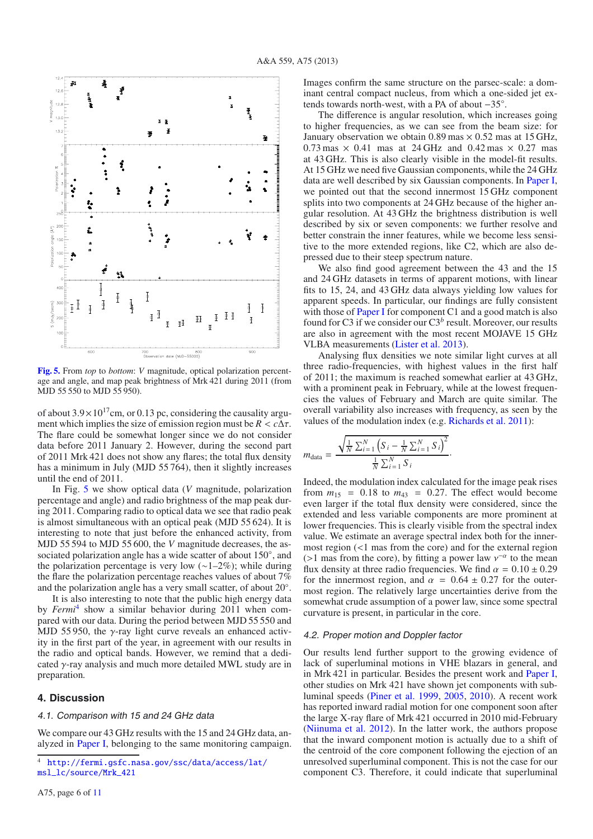

<span id="page-7-0"></span>**[Fig. 5.](http://dexter.edpsciences.org/applet.php?DOI=10.1051/0004-6361/201321858&pdf_id=5)** From *top* to *bottom*: *V* magnitude, optical polarization percentage and angle, and map peak brightness of Mrk 421 during 2011 (from MJD 55 550 to MJD 55 950).

of about  $3.9 \times 10^{17}$ cm, or 0.13 pc, considering the causality argument which implies the size of emission region must be  $R < c\Delta\tau$ . The flare could be somewhat longer since we do not consider data before 2011 January 2. However, during the second part of 2011 Mrk 421 does not show any flares; the total flux density has a minimum in July (MJD 55 764), then it slightly increases until the end of 2011.

In Fig. [5](#page-7-0) we show optical data (*V* magnitude, polarization percentage and angle) and radio brightness of the map peak during 2011. Comparing radio to optical data we see that radio peak is almost simultaneous with an optical peak (MJD 55 624). It is interesting to note that just before the enhanced activity, from MJD 55 594 to MJD 55 600, the *V* magnitude decreases, the associated polarization angle has a wide scatter of about 150◦, and the polarization percentage is very low (∼1–2%); while during the flare the polarization percentage reaches values of about 7% and the polarization angle has a very small scatter, of about 20◦.

<span id="page-7-1"></span>It is also interesting to note that the public high energy data by *Fermi*[4](#page-7-1) show a similar behavior during 2011 when compared with our data. During the period between MJD 55 550 and MJD 55 950, the  $\gamma$ -ray light curve reveals an enhanced activity in the first part of the year, in agreement with our results in the radio and optical bands. However, we remind that a dedicated  $\gamma$ -ray analysis and much more detailed MWL study are in preparation.

### **4. Discussion**

#### 4.1. Comparison with 15 and 24 GHz data

We compare our 43 GHz results with the 15 and 24 GHz data, analyzed in [Paper I](#page-9-10), belonging to the same monitoring campaign. Images confirm the same structure on the parsec-scale: a dominant central compact nucleus, from which a one-sided jet extends towards north-west, with a PA of about −35◦.

The difference is angular resolution, which increases going to higher frequencies, as we can see from the beam size: for January observation we obtain  $0.89 \text{ mas} \times 0.52 \text{ mas}$  at 15 GHz,  $0.73$  mas  $\times$  0.41 mas at 24 GHz and 0.42 mas  $\times$  0.27 mas at 43 GHz. This is also clearly visible in the model-fit results. At 15 GHz we need five Gaussian components, while the 24 GHz data are well described by six Gaussian components. In [Paper I,](#page-9-10) we pointed out that the second innermost 15 GHz component splits into two components at 24 GHz because of the higher angular resolution. At 43 GHz the brightness distribution is well described by six or seven components: we further resolve and better constrain the inner features, while we become less sensitive to the more extended regions, like C2, which are also depressed due to their steep spectrum nature.

We also find good agreement between the 43 and the 15 and 24 GHz datasets in terms of apparent motions, with linear fits to 15, 24, and 43 GHz data always yielding low values for apparent speeds. In particular, our findings are fully consistent with those of **[Paper I](#page-9-10)** for component C1 and a good match is also found for C3 if we consider our C3*<sup>b</sup>* result. Moreover, our results are also in agreement with the most recent MOJAVE 15 GHz VLBA measurements [\(Lister et al. 2013](#page-9-20)).

Analysing flux densities we note similar light curves at all three radio-frequencies, with highest values in the first half of 2011; the maximum is reached somewhat earlier at 43 GHz, with a prominent peak in February, while at the lowest frequencies the values of February and March are quite similar. The overall variability also increases with frequency, as seen by the values of the modulation index (e.g. [Richards et al. 2011](#page-9-21)):

·

$$
m_{\text{data}} = \frac{\sqrt{\frac{1}{N} \sum_{i=1}^{N} (S_i - \frac{1}{N} \sum_{i=1}^{N} S_i)}}{\frac{1}{N} \sum_{i=1}^{N} S_i}
$$

Indeed, the modulation index calculated for the image peak rises from  $m_{15}$  = 0.18 to  $m_{43}$  = 0.27. The effect would become even larger if the total flux density were considered, since the extended and less variable components are more prominent at lower frequencies. This is clearly visible from the spectral index value. We estimate an average spectral index both for the innermost region (<1 mas from the core) and for the external region (>1 mas from the core), by fitting a power law  $v^{-\alpha}$  to the mean flux density at three radio frequencies. We find  $\alpha = 0.10 \pm 0.29$ for the innermost region, and  $\alpha = 0.64 \pm 0.27$  for the outermost region. The relatively large uncertainties derive from the somewhat crude assumption of a power law, since some spectral curvature is present, in particular in the core.

#### 4.2. Proper motion and Doppler factor

Our results lend further support to the growing evidence of lack of superluminal motions in VHE blazars in general, and in Mrk 421 in particular. Besides the present work and [Paper I,](#page-9-10) other studies on Mrk 421 have shown jet components with subluminal speeds [\(Piner et al. 1999,](#page-9-7) [2005,](#page-9-22) [2010\)](#page-9-8). A recent work has reported inward radial motion for one component soon after the large X-ray flare of Mrk 421 occurred in 2010 mid-February [\(Niinuma et al. 2012\)](#page-9-23). In the latter work, the authors propose that the inward component motion is actually due to a shift of the centroid of the core component following the ejection of an unresolved superluminal component. This is not the case for our component C3. Therefore, it could indicate that superluminal

<sup>4</sup> [http://fermi.gsfc.nasa.gov/ssc/data/access/lat/](http://fermi.gsfc.nasa.gov/ssc/data/access/lat/msl_lc/source/Mrk_421) [msl\\_lc/source/Mrk\\_421](http://fermi.gsfc.nasa.gov/ssc/data/access/lat/msl_lc/source/Mrk_421)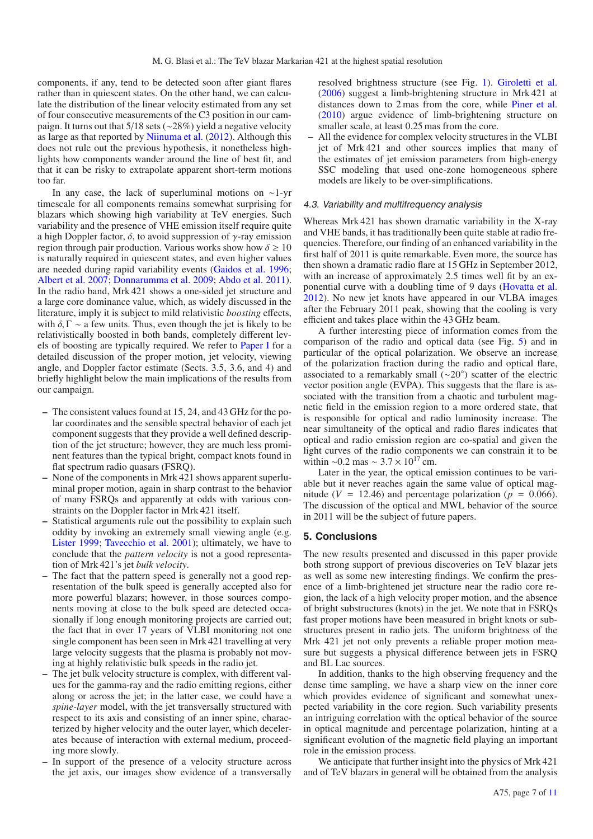components, if any, tend to be detected soon after giant flares rather than in quiescent states. On the other hand, we can calculate the distribution of the linear velocity estimated from any set of four consecutive measurements of the C3 position in our campaign. It turns out that 5/18 sets (∼28%) yield a negative velocity as large as that reported by [Niinuma et al.](#page-9-23) [\(2012\)](#page-9-23). Although this does not rule out the previous hypothesis, it nonetheless highlights how components wander around the line of best fit, and that it can be risky to extrapolate apparent short-term motions too far.

In any case, the lack of superluminal motions on ∼1-yr timescale for all components remains somewhat surprising for blazars which showing high variability at TeV energies. Such variability and the presence of VHE emission itself require quite a high Doppler factor,  $\delta$ , to avoid suppression of  $\gamma$ -ray emission region through pair production. Various works show how  $\delta \geq 10$ is naturally required in quiescent states, and even higher values are needed during rapid variability events [\(Gaidos et al. 1996;](#page-9-6) [Albert et al. 2007](#page-9-24); [Donnarumma et al. 2009](#page-9-25); [Abdo et al. 2011\)](#page-9-0). In the radio band, Mrk 421 shows a one-sided jet structure and a large core dominance value, which, as widely discussed in the literature, imply it is subject to mild relativistic *boosting* effects, with  $\delta$ ,  $\Gamma \sim$  a few units. Thus, even though the jet is likely to be relativistically boosted in both bands, completely different levels of boosting are typically required. We refer to [Paper I](#page-9-10) for a detailed discussion of the proper motion, jet velocity, viewing angle, and Doppler factor estimate (Sects. 3.5, 3.6, and 4) and briefly highlight below the main implications of the results from our campaign.

- **–** The consistent values found at 15, 24, and 43 GHz for the polar coordinates and the sensible spectral behavior of each jet component suggests that they provide a well defined description of the jet structure; however, they are much less prominent features than the typical bright, compact knots found in flat spectrum radio quasars (FSRQ).
- **–** None of the components in Mrk 421 shows apparent superluminal proper motion, again in sharp contrast to the behavior of many FSRQs and apparently at odds with various constraints on the Doppler factor in Mrk 421 itself.
- **–** Statistical arguments rule out the possibility to explain such oddity by invoking an extremely small viewing angle (e.g. [Lister 1999](#page-9-26); [Tavecchio et al. 2001\)](#page-9-27); ultimately, we have to conclude that the *pattern velocity* is not a good representation of Mrk 421's jet *bulk velocity*.
- **–** The fact that the pattern speed is generally not a good representation of the bulk speed is generally accepted also for more powerful blazars; however, in those sources components moving at close to the bulk speed are detected occasionally if long enough monitoring projects are carried out; the fact that in over 17 years of VLBI monitoring not one single component has been seen in Mrk 421 travelling at very large velocity suggests that the plasma is probably not moving at highly relativistic bulk speeds in the radio jet.
- **–** The jet bulk velocity structure is complex, with different values for the gamma-ray and the radio emitting regions, either along or across the jet; in the latter case, we could have a *spine-layer* model, with the jet transversally structured with respect to its axis and consisting of an inner spine, characterized by higher velocity and the outer layer, which decelerates because of interaction with external medium, proceeding more slowly.
- **–** In support of the presence of a velocity structure across the jet axis, our images show evidence of a transversally

resolved brightness structure (see Fig. [1\)](#page-4-1). [Giroletti et al.](#page-9-9) [\(2006\)](#page-9-9) suggest a limb-brightening structure in Mrk 421 at distances down to 2 mas from the core, while [Piner et al.](#page-9-8) [\(2010\)](#page-9-8) argue evidence of limb-brightening structure on smaller scale, at least 0.25 mas from the core.

**–** All the evidence for complex velocity structures in the VLBI jet of Mrk 421 and other sources implies that many of the estimates of jet emission parameters from high-energy SSC modeling that used one-zone homogeneous sphere models are likely to be over-simplifications.

#### 4.3. Variability and multifrequency analysis

Whereas Mrk 421 has shown dramatic variability in the X-ray and VHE bands, it has traditionally been quite stable at radio frequencies. Therefore, our finding of an enhanced variability in the first half of 2011 is quite remarkable. Even more, the source has then shown a dramatic radio flare at 15 GHz in September 2012, with an increase of approximately 2.5 times well fit by an exponential curve with a doubling time of 9 days [\(Hovatta et al.](#page-9-28) [2012\)](#page-9-28). No new jet knots have appeared in our VLBA images after the February 2011 peak, showing that the cooling is very efficient and takes place within the 43 GHz beam.

A further interesting piece of information comes from the comparison of the radio and optical data (see Fig. [5\)](#page-7-0) and in particular of the optical polarization. We observe an increase of the polarization fraction during the radio and optical flare, associated to a remarkably small (∼20◦) scatter of the electric vector position angle (EVPA). This suggests that the flare is associated with the transition from a chaotic and turbulent magnetic field in the emission region to a more ordered state, that is responsible for optical and radio luminosity increase. The near simultaneity of the optical and radio flares indicates that optical and radio emission region are co-spatial and given the light curves of the radio components we can constrain it to be within ~0.2 mas ~  $3.7 \times 10^{17}$  cm.

Later in the year, the optical emission continues to be variable but it never reaches again the same value of optical magnitude ( $V = 12.46$ ) and percentage polarization ( $p = 0.066$ ). The discussion of the optical and MWL behavior of the source in 2011 will be the subject of future papers.

#### **5. Conclusions**

The new results presented and discussed in this paper provide both strong support of previous discoveries on TeV blazar jets as well as some new interesting findings. We confirm the presence of a limb-brightened jet structure near the radio core region, the lack of a high velocity proper motion, and the absence of bright substructures (knots) in the jet. We note that in FSRQs fast proper motions have been measured in bright knots or substructures present in radio jets. The uniform brightness of the Mrk 421 jet not only prevents a reliable proper motion measure but suggests a physical difference between jets in FSRQ and BL Lac sources.

In addition, thanks to the high observing frequency and the dense time sampling, we have a sharp view on the inner core which provides evidence of significant and somewhat unexpected variability in the core region. Such variability presents an intriguing correlation with the optical behavior of the source in optical magnitude and percentage polarization, hinting at a significant evolution of the magnetic field playing an important role in the emission process.

We anticipate that further insight into the physics of Mrk 421 and of TeV blazars in general will be obtained from the analysis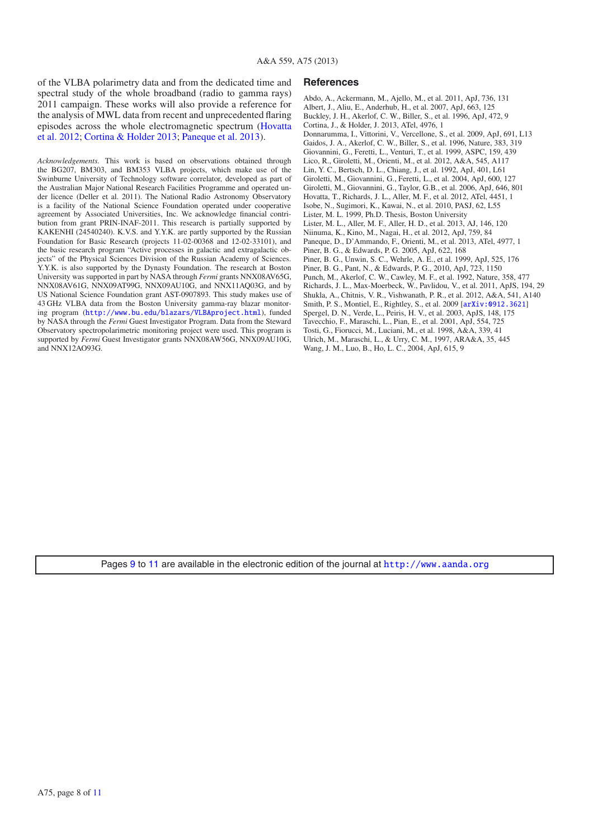of the VLBA polarimetry data and from the dedicated time and spectral study of the whole broadband (radio to gamma rays) 2011 campaign. These works will also provide a reference for the analysis of MWL data from recent and unprecedented flaring epis[odes across the whole electromagnetic spectrum \(](#page-9-28)Hovatta et al. [2012;](#page-9-28) [Cortina & Holder 2013;](#page-9-18) [Paneque et al. 2013\)](#page-9-19).

<span id="page-9-2"></span>*Acknowledgements.* This work is based on observations obtained through the BG207, BM303, and BM353 VLBA projects, which make use of the Swinburne University of Technology software correlator, developed as part of the Australian Major National Research Facilities Programme and operated under licence (Deller et al. 2011). The National Radio Astronomy Observatory is a facility of the National Science Foundation operated under cooperative agreement by Associated Universities, Inc. We acknowledge financial contribution from grant PRIN-INAF-2011. This research is partially supported by KAKENHI (24540240). K.V.S. and Y.Y.K. are partly supported by the Russian Foundation for Basic Research (projects 11-02-00368 and 12-02-33101), and the basic research program "Active processes in galactic and extragalactic objects" of the Physical Sciences Division of the Russian Academy of Sciences. Y.Y.K. is also supported by the Dynasty Foundation. The research at Boston University was supported in part by NASA through *Fermi* grants NNX08AV65G, NNX08AV61G, NNX09AT99G, NNX09AU10G, and NNX11AQ03G, and by US National Science Foundation grant AST-0907893. This study makes use of 43 GHz VLBA data from the Boston University gamma-ray blazar monitoring program (<http://www.bu.edu/blazars/VLBAproject.html>), funded by NASA through the *Fermi* Guest Investigator Program. Data from the Steward Observatory spectropolarimetric monitoring project were used. This program is supported by *Fermi* Guest Investigator grants NNX08AW56G, NNX09AU10G, and NNX12AO93G.

#### <span id="page-9-0"></span>**References**

<span id="page-9-28"></span><span id="page-9-27"></span><span id="page-9-26"></span><span id="page-9-25"></span><span id="page-9-24"></span><span id="page-9-23"></span><span id="page-9-22"></span><span id="page-9-21"></span><span id="page-9-20"></span><span id="page-9-19"></span><span id="page-9-18"></span><span id="page-9-17"></span><span id="page-9-16"></span><span id="page-9-15"></span><span id="page-9-14"></span><span id="page-9-13"></span><span id="page-9-12"></span><span id="page-9-10"></span><span id="page-9-9"></span><span id="page-9-8"></span><span id="page-9-7"></span><span id="page-9-6"></span><span id="page-9-5"></span><span id="page-9-4"></span><span id="page-9-3"></span>Abdo, A., Ackermann, M., Ajello, M., et al. 2011, ApJ, 736, 131 Albert, J., Aliu, E., Anderhub, H., et al. 2007, ApJ, 663, 125 Buckley, J. H., Akerlof, C. W., Biller, S., et al. 1996, ApJ, 472, 9 Cortina, J., & Holder, J. 2013, ATel, 4976, 1 Donnarumma, I., Vittorini, V., Vercellone, S., et al. 2009, ApJ, 691, L13 Gaidos, J. A., Akerlof, C. W., Biller, S., et al. 1996, Nature, 383, 319 Giovannini, G., Feretti, L., Venturi, T., et al. 1999, ASPC, 159, 439 Lico, R., Giroletti, M., Orienti, M., et al. 2012, A&A, 545, A117 Lin, Y. C., Bertsch, D. L., Chiang, J., et al. 1992, ApJ, 401, L61 Giroletti, M., Giovannini, G., Feretti, L., et al. 2004, ApJ, 600, 127 Giroletti, M., Giovannini, G., Taylor, G.B., et al. 2006, ApJ, 646, 801 Hovatta, T., Richards, J. L., Aller, M. F., et al. 2012, ATel, 4451, 1 Isobe, N., Sugimori, K., Kawai, N., et al. 2010, PASJ, 62, L55 Lister, M. L. 1999, Ph.D. Thesis, Boston University Lister, M. L., Aller, M. F., Aller, H. D., et al. 2013, AJ, 146, 120 Niinuma, K., Kino, M., Nagai, H., et al. 2012, ApJ, 759, 84 Paneque, D., D'Ammando, F., Orienti, M., et al. 2013, ATel, 4977, 1 Piner, B. G., & Edwards, P. G. 2005, ApJ, 622, 168 Piner, B. G., Unwin, S. C., Wehrle, A. E., et al. 1999, ApJ, 525, 176 Piner, B. G., Pant, N., & Edwards, P. G., 2010, ApJ, 723, 1150 Punch, M., Akerlof, C. W., Cawley, M. F., et al. 1992, Nature, 358, 477 Richards, J. L., Max-Moerbeck, W., Pavlidou, V., et al. 2011, ApJS, 194, 29 Shukla, A., Chitnis, V. R., Vishwanath, P. R., et al. 2012, A&A, 541, A140 Smith, P. S., Montiel, E., Rightley, S., et al. 2009 [[arXiv:0912.3621](http://arxiv.org/abs/0912.3621)] Spergel, D. N., Verde, L., Peiris, H. V., et al. 2003, ApJS, 148, 175 Tavecchio, F., Maraschi, L., Pian, E., et al. 2001, ApJ, 554, 725 Tosti, G., Fiorucci, M., Luciani, M., et al. 1998, A&A, 339, 41 Ulrich, M., Maraschi, L., & Urry, C. M., 1997, ARA&A, 35, 445 Wang, J. M., Luo, B., Ho, L. C., 2004, ApJ, 615, 9

<span id="page-9-11"></span><span id="page-9-1"></span>Pages [9](#page-10-1) to [11](#page-12-0) are available in the electronic edition of the journal at <http://www.aanda.org>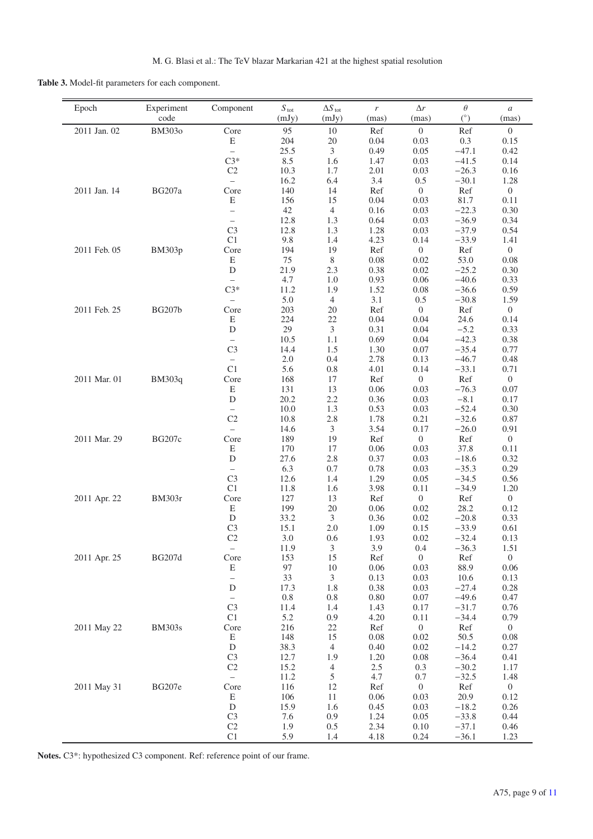<span id="page-10-1"></span><span id="page-10-0"></span>**Table 3.** Model-fit parameters for each component.

| Epoch        | Experiment<br>code | Component                        | $S_{\text{tot}}$<br>(mJy) | $\Delta S_{\rm\, tot}$<br>(mJy) | $\boldsymbol{r}$<br>(mas) | $\Delta r$<br>(mas)    | $\theta$<br>(°)    | $\boldsymbol{a}$<br>(mas) |
|--------------|--------------------|----------------------------------|---------------------------|---------------------------------|---------------------------|------------------------|--------------------|---------------------------|
| 2011 Jan. 02 | <b>BM303o</b>      | Core                             | 95                        | 10                              | Ref                       | $\theta$               | Ref                | $\boldsymbol{0}$          |
|              |                    | E                                | 204                       | 20                              | 0.04                      | 0.03                   | 0.3                | 0.15                      |
|              |                    | $\overline{\phantom{0}}$         | 25.5                      | 3                               | 0.49                      | 0.05                   | $-47.1$            | 0.42                      |
|              |                    | $C3*$                            | 8.5                       | 1.6                             | 1.47                      | 0.03                   | $-41.5$            | 0.14                      |
|              |                    | C2                               | 10.3                      | 1.7                             | 2.01                      | 0.03                   | $-26.3$            | 0.16                      |
|              |                    | $\equiv$                         | 16.2                      | 6.4                             | 3.4                       | 0.5                    | $-30.1$            | 1.28                      |
| 2011 Jan. 14 | <b>BG207a</b>      | Core<br>E                        | 140<br>156                | 14<br>15                        | Ref<br>0.04               | $\overline{0}$<br>0.03 | Ref<br>81.7        | $\overline{0}$<br>0.11    |
|              |                    | $\overline{\phantom{0}}$         | 42                        | $\overline{4}$                  | 0.16                      | 0.03                   | $-22.3$            | 0.30                      |
|              |                    | $\equiv$                         | 12.8                      | 1.3                             | 0.64                      | 0.03                   | $-36.9$            | 0.34                      |
|              |                    | C <sub>3</sub>                   | 12.8                      | 1.3                             | 1.28                      | 0.03                   | $-37.9$            | 0.54                      |
|              |                    | C1                               | 9.8                       | 1.4                             | 4.23                      | 0.14                   | $-33.9$            | 1.41                      |
| 2011 Feb. 05 | <b>BM303p</b>      | Core                             | 194                       | 19                              | Ref                       | $\theta$               | Ref                | $\boldsymbol{0}$          |
|              |                    | E                                | 75                        | $\,8\,$                         | 0.08                      | 0.02                   | 53.0               | 0.08                      |
|              |                    | $\mathbf D$                      | 21.9                      | 2.3                             | 0.38                      | 0.02                   | $-25.2$            | 0.30                      |
|              |                    | $\equiv$                         | 4.7                       | 1.0                             | 0.93                      | 0.06                   | $-40.6$            | 0.33                      |
|              |                    | $C3*$                            | 11.2<br>5.0               | 1.9<br>$\overline{4}$           | 1.52<br>3.1               | 0.08<br>0.5            | $-36.6$<br>$-30.8$ | 0.59<br>1.59              |
| 2011 Feb. 25 | <b>BG207b</b>      | $\overline{\phantom{0}}$<br>Core | 203                       | 20                              | Ref                       | $\overline{0}$         | Ref                | $\overline{0}$            |
|              |                    | E                                | 224                       | 22                              | 0.04                      | 0.04                   | 24.6               | 0.14                      |
|              |                    | $\mathbf D$                      | 29                        | $\mathfrak{Z}$                  | 0.31                      | 0.04                   | $-5.2$             | 0.33                      |
|              |                    | $\equiv$                         | 10.5                      | 1.1                             | 0.69                      | 0.04                   | $-42.3$            | 0.38                      |
|              |                    | C <sub>3</sub>                   | 14.4                      | 1.5                             | 1.30                      | 0.07                   | $-35.4$            | 0.77                      |
|              |                    | $\overline{\phantom{0}}$         | 2.0                       | 0.4                             | 2.78                      | 0.13                   | $-46.7$            | 0.48                      |
|              |                    | C1                               | 5.6                       | 0.8                             | 4.01                      | 0.14                   | $-33.1$            | 0.71                      |
| 2011 Mar. 01 | <b>BM303q</b>      | Core                             | 168                       | 17                              | Ref                       | $\overline{0}$         | Ref                | $\overline{0}$            |
|              |                    | E<br>D                           | 131                       | 13                              | 0.06                      | 0.03                   | $-76.3$            | 0.07                      |
|              |                    | $\overline{\phantom{0}}$         | 20.2<br>10.0              | 2.2<br>1.3                      | 0.36<br>0.53              | 0.03<br>0.03           | $-8.1$<br>$-52.4$  | 0.17<br>0.30              |
|              |                    | C2                               | 10.8                      | 2.8                             | 1.78                      | 0.21                   | $-32.6$            | 0.87                      |
|              |                    | $\overline{\phantom{0}}$         | 14.6                      | 3                               | 3.54                      | 0.17                   | $-26.0$            | 0.91                      |
| 2011 Mar. 29 | <b>BG207c</b>      | Core                             | 189                       | 19                              | Ref                       | $\boldsymbol{0}$       | Ref                | $\overline{0}$            |
|              |                    | E                                | 170                       | 17                              | 0.06                      | 0.03                   | 37.8               | 0.11                      |
|              |                    | $\mathbf D$                      | 27.6                      | 2.8                             | 0.37                      | 0.03                   | $-18.6$            | 0.32                      |
|              |                    | $\equiv$                         | 6.3                       | 0.7                             | 0.78                      | 0.03                   | $-35.3$            | 0.29                      |
|              |                    | C <sub>3</sub>                   | 12.6                      | 1.4                             | 1.29                      | 0.05                   | $-34.5$            | 0.56                      |
|              |                    | C1                               | 11.8                      | 1.6                             | 3.98                      | 0.11                   | $-34.9$            | 1.20                      |
| 2011 Apr. 22 | <b>BM303r</b>      | Core<br>$\mathbf E$              | 127<br>199                | 13<br>20                        | Ref<br>0.06               | $\overline{0}$<br>0.02 | Ref<br>28.2        | $\overline{0}$<br>0.12    |
|              |                    | ${\rm D}$                        | 33.2                      | $\mathfrak{Z}$                  | 0.36                      | 0.02                   | $-20.8$            | 0.33                      |
|              |                    | C <sub>3</sub>                   | 15.1                      | $2.0\,$                         | 1.09                      | 0.15                   | $-33.9$            | 0.61                      |
|              |                    | C <sub>2</sub>                   | 3.0                       | 0.6                             | 1.93                      | 0.02                   | $-32.4$            | 0.13                      |
|              |                    | $\qquad \qquad -$                | 11.9                      | 3                               | 3.9                       | $0.4\,$                | $-36.3$            | 1.51                      |
| 2011 Apr. 25 | <b>BG207d</b>      | Core                             | 153                       | 15                              | Ref                       | $\boldsymbol{0}$       | Ref                | $\boldsymbol{0}$          |
|              |                    | E                                | 97                        | 10                              | 0.06                      | 0.03                   | 88.9               | 0.06                      |
|              |                    | $\qquad \qquad -$                | 33                        | 3                               | 0.13                      | 0.03                   | 10.6               | 0.13                      |
|              |                    | D<br>$\qquad \qquad -$           | 17.3<br>0.8               | 1.8<br>$0.8\,$                  | 0.38<br>0.80              | 0.03<br>0.07           | $-27.4$<br>$-49.6$ | 0.28<br>0.47              |
|              |                    | C <sub>3</sub>                   | 11.4                      | 1.4                             | 1.43                      | 0.17                   | $-31.7$            | 0.76                      |
|              |                    | C1                               | 5.2                       | 0.9                             | 4.20                      | 0.11                   | $-34.4$            | 0.79                      |
| 2011 May 22  | <b>BM303s</b>      | Core                             | 216                       | 22                              | Ref                       | $\overline{0}$         | Ref                | $\overline{0}$            |
|              |                    | $\mathbf E$                      | 148                       | 15                              | $0.08\,$                  | 0.02                   | 50.5               | $0.08\,$                  |
|              |                    | ${\rm D}$                        | 38.3                      | $\overline{4}$                  | 0.40                      | 0.02                   | $-14.2$            | 0.27                      |
|              |                    | C <sub>3</sub>                   | 12.7                      | 1.9                             | 1.20                      | 0.08                   | $-36.4$            | 0.41                      |
|              |                    | C2                               | 15.2                      | $\overline{4}$                  | 2.5                       | 0.3                    | $-30.2$            | 1.17                      |
|              |                    | $\equiv$                         | 11.2                      | 5                               | 4.7                       | 0.7                    | $-32.5$            | 1.48                      |
| 2011 May 31  | <b>BG207e</b>      | Core<br>E                        | 116<br>106                | 12<br>11                        | Ref<br>0.06               | $\overline{0}$<br>0.03 | Ref<br>20.9        | $\boldsymbol{0}$<br>0.12  |
|              |                    | ${\rm D}$                        | 15.9                      | 1.6                             | 0.45                      | 0.03                   | $-18.2$            | 0.26                      |
|              |                    | C <sub>3</sub>                   | 7.6                       | 0.9                             | 1.24                      | 0.05                   | $-33.8$            | 0.44                      |
|              |                    | $\rm C2$                         | 1.9                       | 0.5                             | 2.34                      | 0.10                   | $-37.1$            | 0.46                      |
|              |                    | C1                               | 5.9                       | 1.4                             | 4.18                      | 0.24                   | $-36.1$            | 1.23                      |

**Notes.** C3\*: hypothesized C3 component. Ref: reference point of our frame.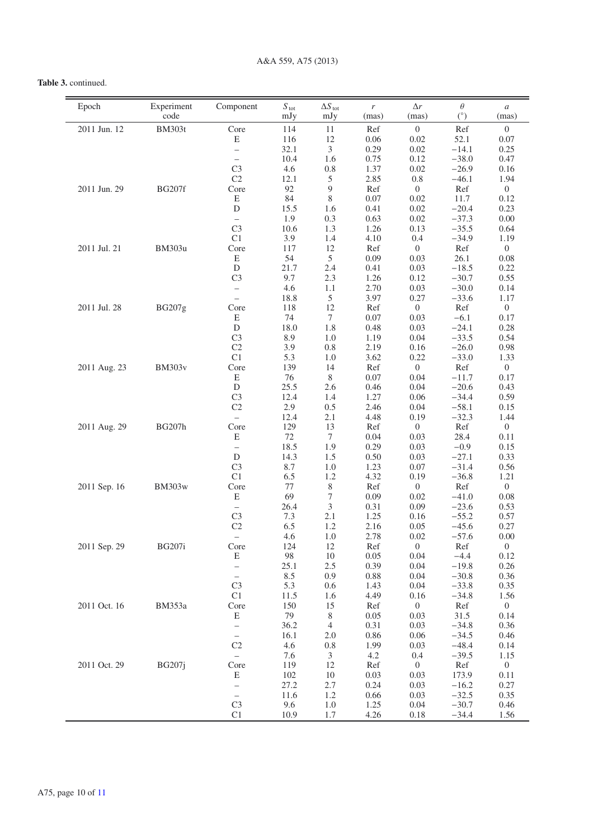## **Table 3.** continued.

| Epoch        | Experiment<br>code | Component                                  | $S_{\text{tot}}$<br>mJy | $\Delta S_{\rm tot}$<br>mJy | r<br>(mas)   | $\Delta r$<br>(mas)      | $\theta$<br>(°)    | $\boldsymbol{a}$<br>(mas) |
|--------------|--------------------|--------------------------------------------|-------------------------|-----------------------------|--------------|--------------------------|--------------------|---------------------------|
| 2011 Jun. 12 | <b>BM303t</b>      | Core                                       | 114                     | 11                          | Ref          | $\boldsymbol{0}$         | Ref                | $\overline{0}$            |
|              |                    | E                                          | 116                     | 12                          | 0.06         | 0.02                     | 52.1               | 0.07                      |
|              |                    | $\overline{\phantom{a}}$                   | 32.1                    | 3                           | 0.29         | 0.02                     | $-14.1$            | 0.25                      |
|              |                    | $\equiv$                                   | 10.4                    | 1.6                         | 0.75         | 0.12                     | $-38.0$            | 0.47                      |
|              |                    | C <sub>3</sub>                             | 4.6                     | 0.8                         | 1.37         | 0.02                     | $-26.9$            | 0.16                      |
|              |                    | C <sub>2</sub>                             | 12.1                    | 5                           | 2.85         | 0.8                      | $-46.1$            | 1.94                      |
| 2011 Jun. 29 | <b>BG207f</b>      | Core                                       | 92                      | $\overline{9}$              | Ref          | $\mathbf{0}$             | Ref                | $\mathbf{0}$              |
|              |                    | E                                          | 84                      | 8                           | 0.07         | 0.02                     | 11.7               | 0.12                      |
|              |                    | ${\rm D}$                                  | 15.5<br>1.9             | 1.6<br>0.3                  | 0.41<br>0.63 | 0.02<br>0.02             | $-20.4$<br>$-37.3$ | 0.23<br>$0.00\,$          |
|              |                    | $\overline{\phantom{0}}$<br>C <sub>3</sub> | 10.6                    | 1.3                         | 1.26         | 0.13                     | $-35.5$            | 0.64                      |
|              |                    | C1                                         | 3.9                     | 1.4                         | 4.10         | 0.4                      | $-34.9$            | 1.19                      |
| 2011 Jul. 21 | <b>BM303u</b>      | Core                                       | 117                     | 12                          | Ref          | $\boldsymbol{0}$         | Ref                | $\mathbf{0}$              |
|              |                    | E                                          | 54                      | 5                           | 0.09         | 0.03                     | 26.1               | 0.08                      |
|              |                    | ${\rm D}$                                  | 21.7                    | 2.4                         | 0.41         | 0.03                     | $-18.5$            | 0.22                      |
|              |                    | C <sub>3</sub>                             | 9.7                     | 2.3                         | 1.26         | 0.12                     | $-30.7$            | 0.55                      |
|              |                    | $\overline{\phantom{a}}$                   | 4.6                     | 1.1                         | 2.70         | 0.03                     | $-30.0$            | 0.14                      |
|              |                    | $\equiv$                                   | 18.8                    | 5                           | 3.97         | 0.27                     | $-33.6$            | 1.17                      |
| 2011 Jul. 28 | <b>BG207g</b>      | Core                                       | 118                     | 12                          | Ref          | $\mathbf{0}$             | Ref                | $\mathbf{0}$              |
|              |                    | E                                          | 74                      | $\tau$                      | 0.07         | 0.03                     | $-6.1$             | 0.17                      |
|              |                    | ${\rm D}$                                  | 18.0                    | 1.8                         | 0.48         | 0.03                     | $-24.1$            | 0.28                      |
|              |                    | C <sub>3</sub>                             | 8.9                     | 1.0                         | 1.19         | 0.04                     | $-33.5$            | 0.54                      |
|              |                    | C <sub>2</sub><br>C1                       | 3.9<br>5.3              | 0.8                         | 2.19         | 0.16                     | $-26.0$<br>$-33.0$ | 0.98                      |
| 2011 Aug. 23 | <b>BM303v</b>      | Core                                       | 139                     | 1.0<br>14                   | 3.62<br>Ref  | 0.22<br>$\boldsymbol{0}$ | Ref                | 1.33<br>$\overline{0}$    |
|              |                    | Ε                                          | 76                      | 8                           | 0.07         | 0.04                     | $-11.7$            | 0.17                      |
|              |                    | D                                          | 25.5                    | 2.6                         | 0.46         | 0.04                     | $-20.6$            | 0.43                      |
|              |                    | C <sub>3</sub>                             | 12.4                    | 1.4                         | 1.27         | 0.06                     | $-34.4$            | 0.59                      |
|              |                    | C <sub>2</sub>                             | 2.9                     | 0.5                         | 2.46         | 0.04                     | $-58.1$            | 0.15                      |
|              |                    | $\equiv$                                   | 12.4                    | 2.1                         | 4.48         | 0.19                     | $-32.3$            | 1.44                      |
| 2011 Aug. 29 | <b>BG207h</b>      | Core                                       | 129                     | 13                          | Ref          | $\mathbf{0}$             | Ref                | $\mathbf{0}$              |
|              |                    | Ε                                          | 72                      | $\tau$                      | 0.04         | 0.03                     | 28.4               | 0.11                      |
|              |                    | $\overline{\phantom{0}}$                   | 18.5                    | 1.9                         | 0.29         | 0.03                     | $-0.9$             | 0.15                      |
|              |                    | D                                          | 14.3                    | 1.5                         | 0.50         | 0.03                     | $-27.1$            | 0.33                      |
|              |                    | C <sub>3</sub>                             | 8.7                     | 1.0                         | 1.23         | 0.07                     | $-31.4$            | 0.56                      |
|              |                    | C1                                         | 6.5                     | 1.2                         | 4.32         | 0.19                     | $-36.8$            | 1.21                      |
| 2011 Sep. 16 | <b>BM303w</b>      | Core<br>Ε                                  | 77<br>69                | $8\,$                       | Ref<br>0.09  | $\mathbf{0}$<br>0.02     | Ref<br>$-41.0$     | $\mathbf{0}$<br>0.08      |
|              |                    | $\overline{\phantom{0}}$                   | 26.4                    | 7<br>3                      | 0.31         | 0.09                     | $-23.6$            | 0.53                      |
|              |                    | C <sub>3</sub>                             | 7.3                     | 2.1                         | 1.25         | 0.16                     | $-55.2$            | 0.57                      |
|              |                    | C <sub>2</sub>                             | 6.5                     | 1.2                         | 2.16         | 0.05                     | $-45.6$            | 0.27                      |
|              |                    | $\overline{\phantom{0}}$                   | 4.6                     | 1.0                         | 2.78         | 0.02                     | $-57.6$            | 0.00                      |
| 2011 Sep. 29 | <b>BG207i</b>      | Core                                       | 124                     | 12                          | Ref          | $\boldsymbol{0}$         | Ref                | $\boldsymbol{0}$          |
|              |                    | ${\bf E}$                                  | 98                      | $10\,$                      | 0.05         | 0.04                     | $-4.4$             | 0.12                      |
|              |                    | $\qquad \qquad -$                          | 25.1                    | 2.5                         | 0.39         | 0.04                     | $-19.8$            | 0.26                      |
|              |                    | $\qquad \qquad -$                          | 8.5                     | 0.9                         | 0.88         | 0.04                     | $-30.8$            | 0.36                      |
|              |                    | C <sub>3</sub>                             | 5.3                     | 0.6                         | 1.43         | 0.04                     | $-33.8$            | 0.35                      |
|              |                    | C1                                         | 11.5                    | 1.6                         | 4.49         | 0.16                     | $-34.8$            | 1.56                      |
| 2011 Oct. 16 | <b>BM353a</b>      | Core                                       | 150                     | 15                          | Ref          | $\boldsymbol{0}$         | Ref                | $\boldsymbol{0}$          |
|              |                    | ${\bf E}$                                  | 79                      | 8                           | 0.05         | 0.03                     | 31.5               | 0.14                      |
|              |                    | $\qquad \qquad -$<br>$\qquad \qquad -$     | 36.2<br>16.1            | $\overline{4}$<br>$2.0$     | 0.31<br>0.86 | 0.03<br>0.06             | $-34.8$<br>$-34.5$ | 0.36<br>0.46              |
|              |                    | C <sub>2</sub>                             | 4.6                     | 0.8                         | 1.99         | 0.03                     | $-48.4$            | 0.14                      |
|              |                    | $\overline{\phantom{0}}$                   | 7.6                     | 3                           | 4.2          | 0.4                      | $-39.5$            | 1.15                      |
| 2011 Oct. 29 | <b>BG207j</b>      | Core                                       | 119                     | 12                          | Ref          | $\boldsymbol{0}$         | Ref                | $\boldsymbol{0}$          |
|              |                    | E                                          | 102                     | 10                          | 0.03         | 0.03                     | 173.9              | 0.11                      |
|              |                    | $\qquad \qquad -$                          | 27.2                    | 2.7                         | 0.24         | 0.03                     | $-16.2$            | 0.27                      |
|              |                    | $\overline{\phantom{0}}$                   | 11.6                    | 1.2                         | 0.66         | 0.03                     | $-32.5$            | 0.35                      |
|              |                    | C <sub>3</sub>                             | 9.6                     | 1.0                         | 1.25         | 0.04                     | $-30.7$            | 0.46                      |
|              |                    | C <sub>1</sub>                             | 10.9                    | 1.7                         | 4.26         | 0.18                     | $-34.4$            | 1.56                      |